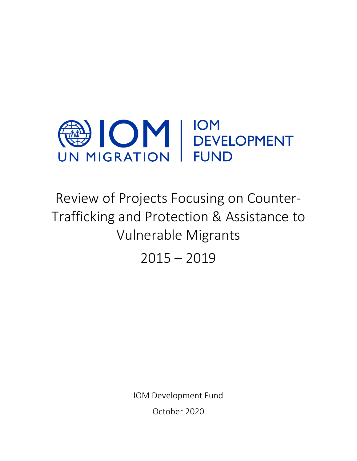

Review of Projects Focusing on Counter-Trafficking and Protection & Assistance to Vulnerable Migrants

 $2015 - 2019$ 

IOM Development Fund October 2020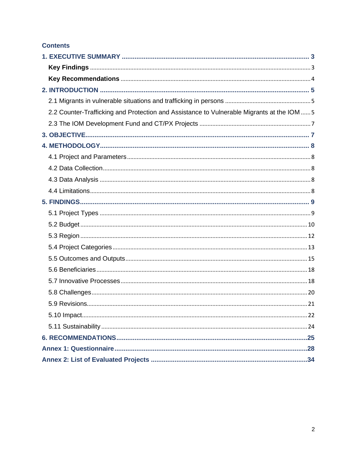## **Contents**

| 2.2 Counter-Trafficking and Protection and Assistance to Vulnerable Migrants at the IOM  5 |
|--------------------------------------------------------------------------------------------|
|                                                                                            |
|                                                                                            |
|                                                                                            |
|                                                                                            |
|                                                                                            |
|                                                                                            |
|                                                                                            |
|                                                                                            |
|                                                                                            |
|                                                                                            |
|                                                                                            |
|                                                                                            |
|                                                                                            |
|                                                                                            |
|                                                                                            |
|                                                                                            |
|                                                                                            |
|                                                                                            |
|                                                                                            |
|                                                                                            |
|                                                                                            |
|                                                                                            |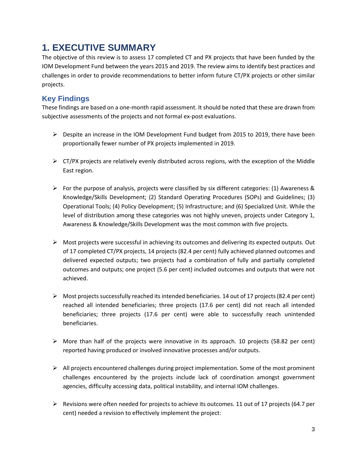# <span id="page-2-0"></span>**1. EXECUTIVE SUMMARY**

The objective of this review is to assess 17 completed CT and PX projects that have been funded by the IOM Development Fund between the years 2015 and 2019. The review aims to identify best practices and challenges in order to provide recommendations to better inform future CT/PX projects or other similar projects.

# <span id="page-2-1"></span>**Key Findings**

These findings are based on a one-month rapid assessment. It should be noted that these are drawn from subjective assessments of the projects and not formal ex-post evaluations.

- ➢ Despite an increase in the IOM Development Fund budget from 2015 to 2019, there have been proportionally fewer number of PX projects implemented in 2019.
- $\triangleright$  CT/PX projects are relatively evenly distributed across regions, with the exception of the Middle East region.
- $\triangleright$  For the purpose of analysis, projects were classified by six different categories: (1) Awareness & Knowledge/Skills Development; (2) Standard Operating Procedures (SOPs) and Guidelines; (3) Operational Tools; (4) Policy Development; (5) Infrastructure; and (6) Specialized Unit. While the level of distribution among these categories was not highly uneven, projects under Category 1, Awareness & Knowledge/Skills Development was the most common with five projects.
- $\triangleright$  Most projects were successful in achieving its outcomes and delivering its expected outputs. Out of 17 completed CT/PX projects, 14 projects (82.4 per cent) fully achieved planned outcomes and delivered expected outputs; two projects had a combination of fully and partially completed outcomes and outputs; one project (5.6 per cent) included outcomes and outputs that were not achieved.
- $\triangleright$  Most projects successfully reached its intended beneficiaries. 14 out of 17 projects (82.4 per cent) reached all intended beneficiaries; three projects (17.6 per cent) did not reach all intended beneficiaries; three projects (17.6 per cent) were able to successfully reach unintended beneficiaries.
- $\triangleright$  More than half of the projects were innovative in its approach. 10 projects (58.82 per cent) reported having produced or involved innovative processes and/or outputs.
- ➢ All projects encountered challenges during project implementation. Some of the most prominent challenges encountered by the projects include lack of coordination amongst government agencies, difficulty accessing data, political instability, and internal IOM challenges.
- $\triangleright$  Revisions were often needed for projects to achieve its outcomes. 11 out of 17 projects (64.7 per cent) needed a revision to effectively implement the project: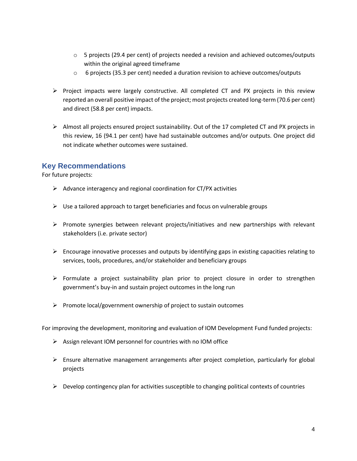- $\circ$  5 projects (29.4 per cent) of projects needed a revision and achieved outcomes/outputs within the original agreed timeframe
- $\circ$  6 projects (35.3 per cent) needed a duration revision to achieve outcomes/outputs
- $\triangleright$  Project impacts were largely constructive. All completed CT and PX projects in this review reported an overall positive impact of the project; most projects created long-term (70.6 per cent) and direct (58.8 per cent) impacts.
- $\triangleright$  Almost all projects ensured project sustainability. Out of the 17 completed CT and PX projects in this review, 16 (94.1 per cent) have had sustainable outcomes and/or outputs. One project did not indicate whether outcomes were sustained.

## <span id="page-3-0"></span>**Key Recommendations**

For future projects:

- $\triangleright$  Advance interagency and regional coordination for CT/PX activities
- $\triangleright$  Use a tailored approach to target beneficiaries and focus on vulnerable groups
- ➢ Promote synergies between relevant projects/initiatives and new partnerships with relevant stakeholders (i.e. private sector)
- ➢ Encourage innovative processes and outputs by identifying gaps in existing capacities relating to services, tools, procedures, and/or stakeholder and beneficiary groups
- ➢ Formulate a project sustainability plan prior to project closure in order to strengthen government's buy-in and sustain project outcomes in the long run
- ➢ Promote local/government ownership of project to sustain outcomes

For improving the development, monitoring and evaluation of IOM Development Fund funded projects:

- ➢ Assign relevant IOM personnel for countries with no IOM office
- $\triangleright$  Ensure alternative management arrangements after project completion, particularly for global projects
- $\triangleright$  Develop contingency plan for activities susceptible to changing political contexts of countries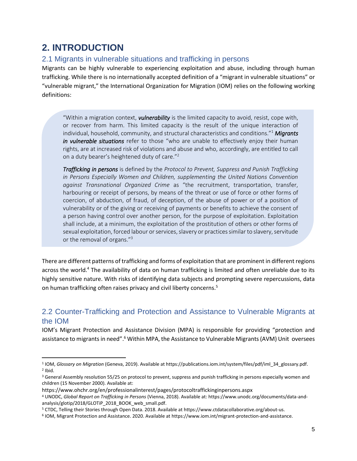# <span id="page-4-0"></span>**2. INTRODUCTION**

## <span id="page-4-1"></span>2.1 Migrants in vulnerable situations and trafficking in persons

Migrants can be highly vulnerable to experiencing exploitation and abuse, including through human trafficking. While there is no internationally accepted definition of a "migrant in vulnerable situations" or "vulnerable migrant," the International Organization for Migration (IOM) relies on the following working definitions:

"Within a migration context, *vulnerability* is the limited capacity to avoid, resist, cope with, or recover from harm. This limited capacity is the result of the unique interaction of individual, household, community, and structural characteristics and conditions."<sup>1</sup> *Migrants in vulnerable situations* refer to those "who are unable to effectively enjoy their human rights, are at increased risk of violations and abuse and who, accordingly, are entitled to call on a duty bearer's heightened duty of care."<sup>2</sup>

*Trafficking in persons* is defined by the *Protocol to Prevent, Suppress and Punish Trafficking*  in Persons Especially Women and Children, supplementing the United Nations Convention *against Transnational Organized Crime* as "the recruitment, transportation, transfer, harbouring or receipt of persons, by means of the threat or use of force or other forms of coercion, of abduction, of fraud, of deception, of the abuse of power or of a position of vulnerability or of the giving or receiving of payments or benefits to achieve the consent of a person having control over another person, for the purpose of exploitation. Exploitation shall include, at a minimum, the exploitation of the prostitution of others or other forms of sexual exploitation, forced labour or services, slavery or practices similar to slavery, servitude or the removal of organs."<sup>3</sup>

There are different patterns of trafficking and forms of exploitation that are prominent in different regions across the world.<sup>4</sup> The availability of data on human trafficking is limited and often unreliable due to its highly sensitive nature. With risks of identifying data subjects and prompting severe repercussions, data on human trafficking often raises privacy and civil liberty concerns.<sup>5</sup>

## <span id="page-4-2"></span>2.2 Counter-Trafficking and Protection and Assistance to Vulnerable Migrants at the IOM

IOM's Migrant Protection and Assistance Division (MPA) is responsible for providing "protection and assistance to migrants in need".<sup>6</sup> Within MPA, the Assistance to Vulnerable Migrants (AVM) Unit oversees

<sup>1</sup> IOM, *Glossary on Migration* (Geneva, 2019). Available at [https://publications.iom.int/system/files/pdf/iml\\_34\\_glossary.pdf.](https://publications.iom.int/system/files/pdf/iml_34_glossary.pdf) 2 Ibid.

<sup>&</sup>lt;sup>3</sup> General Assembly resolution 55/25 on protocol to prevent, suppress and punish trafficking in persons especially women and children (15 November 2000). Available at:

https://www.ohchr.org/en/professionalinterest/pages/protocoltraffickinginpersons.aspx

<sup>4</sup> UNODC, *Global Report on Trafficking in Persons* (Vienna, 2018). Available at: https://www.unodc.org/documents/data-andanalysis/glotip/2018/GLOTiP\_2018\_BOOK\_web\_small.pdf.

<sup>5</sup> CTDC, Telling their Stories through Open Data. 2018. Available at https://www.ctdatacollaborative.org/about-us.

<sup>6</sup> IOM, Migrant Protection and Assistance. 2020. Available a[t https://www.iom.int/migrant-protection-and-assistance.](https://www.iom.int/migrant-protection-and-assistance)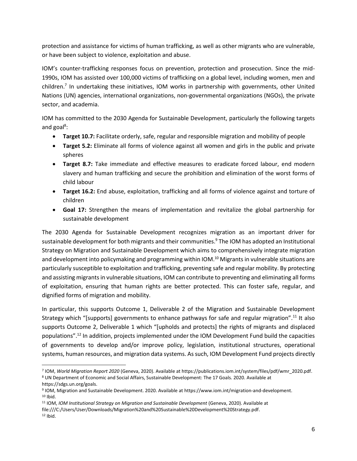protection and assistance for victims of human trafficking, as well as other migrants who are vulnerable, or have been subject to violence, exploitation and abuse.

IOM's counter-trafficking responses focus on prevention, protection and prosecution. Since the mid-1990s, IOM has assisted over 100,000 victims of trafficking on a global level, including women, men and children.<sup>7</sup> In undertaking these initiatives, IOM works in partnership with governments, other United Nations (UN) agencies, international organizations, non-governmental organizations (NGOs), the private sector, and academia.

IOM has committed to the 2030 Agenda for Sustainable Development, particularly the following targets and goal<sup>8</sup>:

- **Target 10.7:** Facilitate orderly, safe, regular and responsible migration and mobility of people
- **Target 5.2:** Eliminate all forms of violence against all women and girls in the public and private spheres
- **Target 8.7:** Take immediate and effective measures to eradicate forced labour, end modern slavery and human trafficking and secure the prohibition and elimination of the worst forms of child labour
- **Target 16.2:** End abuse, exploitation, trafficking and all forms of violence against and torture of children
- **Goal 17:** Strengthen the means of implementation and revitalize the global partnership for sustainable development

The 2030 Agenda for Sustainable Development recognizes migration as an important driver for sustainable development for both migrants and their communities.<sup>9</sup> The IOM has adopted an Institutional Strategy on Migration and Sustainable Development which aims to comprehensively integrate migration and development into policymaking and programming within IOM.<sup>10</sup> Migrants in vulnerable situations are particularly susceptible to exploitation and trafficking, preventing safe and regular mobility. By protecting and assisting migrants in vulnerable situations, IOM can contribute to preventing and eliminating all forms of exploitation, ensuring that human rights are better protected. This can foster safe, regular, and dignified forms of migration and mobility.

In particular, this supports Outcome 1, Deliverable 2 of the Migration and Sustainable Development Strategy which "[supports] governments to enhance pathways for safe and regular migration".<sup>11</sup> It also supports Outcome 2, Deliverable 1 which "[upholds and protects] the rights of migrants and displaced populations".<sup>12</sup> In addition, projects implemented under the IOM Development Fund build the capacities of governments to develop and/or improve policy, legislation, institutional structures, operational systems, human resources, and migration data systems. As such, IOM Development Fund projects directly

<sup>7</sup> IOM, *World Migration Report 2020* (Geneva, 2020). Available at [https://publications.iom.int/system/files/pdf/wmr\\_2020.pdf.](https://publications.iom.int/system/files/pdf/wmr_2020.pdf) <sup>8</sup> UN Department of Economic and Social Affairs, Sustainable Development: The 17 Goals. 2020. Available at

[https://sdgs.un.org/goals.](https://sdgs.un.org/goals)

<sup>9</sup> IOM, Migration and Sustainable Development. 2020. Available at https://www.iom.int/migration-and-development.  $10$  Ibid.

<sup>11</sup> IOM, *IOM Institutional Strategy on Migration and Sustainable Development* (Geneva, 2020). Available at file:///C:/Users/User/Downloads/Migration%20and%20Sustainable%20Development%20Strategy.pdf.  $12$  Ibid.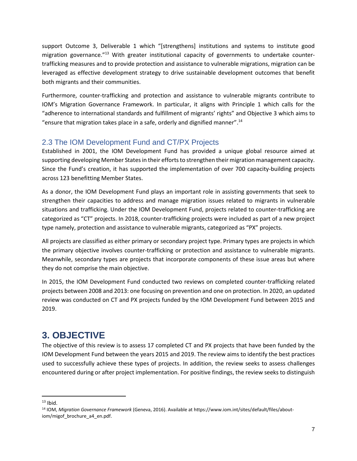support Outcome 3, Deliverable 1 which "[strengthens] institutions and systems to institute good migration governance."<sup>13</sup> With greater institutional capacity of governments to undertake countertrafficking measures and to provide protection and assistance to vulnerable migrations, migration can be leveraged as effective development strategy to drive sustainable development outcomes that benefit both migrants and their communities.

Furthermore, counter-trafficking and protection and assistance to vulnerable migrants contribute to IOM's Migration Governance Framework. In particular, it aligns with Principle 1 which calls for the "adherence to international standards and fulfillment of migrants' rights" and Objective 3 which aims to "ensure that migration takes place in a safe, orderly and dignified manner". 14

## <span id="page-6-0"></span>2.3 The IOM Development Fund and CT/PX Projects

Established in 2001, the IOM Development Fund has provided a unique global resource aimed at supporting developing Member States in their efforts to strengthen their migration management capacity. Since the Fund's creation, it has supported the implementation of over 700 capacity-building projects across 123 benefitting Member States.

As a donor, the IOM Development Fund plays an important role in assisting governments that seek to strengthen their capacities to address and manage migration issues related to migrants in vulnerable situations and trafficking. Under the IOM Development Fund, projects related to counter-trafficking are categorized as "CT" projects. In 2018, counter-trafficking projects were included as part of a new project type namely, protection and assistance to vulnerable migrants, categorized as "PX" projects.

All projects are classified as either primary or secondary project type. Primary types are projects in which the primary objective involves counter-trafficking or protection and assistance to vulnerable migrants. Meanwhile, secondary types are projects that incorporate components of these issue areas but where they do not comprise the main objective.

In 2015, the IOM Development Fund conducted two reviews on completed counter-trafficking related projects between 2008 and 2013: one focusing on prevention and one on protection. In 2020, an updated review was conducted on CT and PX projects funded by the IOM Development Fund between 2015 and 2019.

# <span id="page-6-1"></span>**3. OBJECTIVE**

The objective of this review is to assess 17 completed CT and PX projects that have been funded by the IOM Development Fund between the years 2015 and 2019. The review aims to identify the best practices used to successfully achieve these types of projects. In addition, the review seeks to assess challenges encountered during or after project implementation. For positive findings, the review seeks to distinguish

 $13$  Ibid.

<sup>14</sup> IOM, *Migration Governance Framework* (Geneva, 2016). Available at https://www.iom.int/sites/default/files/aboutiom/migof\_brochure\_a4\_en.pdf.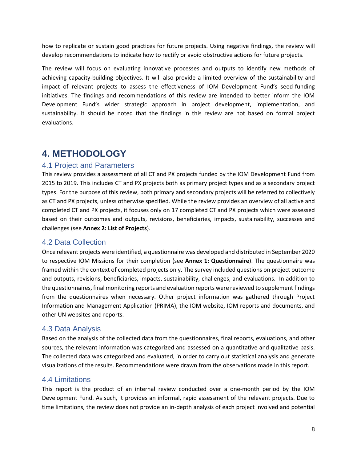how to replicate or sustain good practices for future projects. Using negative findings, the review will develop recommendations to indicate how to rectify or avoid obstructive actions for future projects.

The review will focus on evaluating innovative processes and outputs to identify new methods of achieving capacity-building objectives. It will also provide a limited overview of the sustainability and impact of relevant projects to assess the effectiveness of IOM Development Fund's seed-funding initiatives. The findings and recommendations of this review are intended to better inform the IOM Development Fund's wider strategic approach in project development, implementation, and sustainability. It should be noted that the findings in this review are not based on formal project evaluations.

# <span id="page-7-0"></span>**4. METHODOLOGY**

## <span id="page-7-1"></span>4.1 Project and Parameters

This review provides a assessment of all CT and PX projects funded by the IOM Development Fund from 2015 to 2019. This includes CT and PX projects both as primary project types and as a secondary project types. For the purpose of this review, both primary and secondary projects will be referred to collectively as CT and PX projects, unless otherwise specified. While the review provides an overview of all active and completed CT and PX projects, it focuses only on 17 completed CT and PX projects which were assessed based on their outcomes and outputs, revisions, beneficiaries, impacts, sustainability, successes and challenges (see **Annex 2: List of Projects**).

## <span id="page-7-2"></span>4.2 Data Collection

Once relevant projects were identified, a questionnaire was developed and distributed in September 2020 to respective IOM Missions for their completion (see **Annex 1: Questionnaire**). The questionnaire was framed within the context of completed projects only. The survey included questions on project outcome and outputs, revisions, beneficiaries, impacts, sustainability, challenges, and evaluations. In addition to the questionnaires, final monitoring reports and evaluation reports were reviewed to supplement findings from the questionnaires when necessary. Other project information was gathered through Project Information and Management Application (PRIMA), the IOM website, IOM reports and documents, and other UN websites and reports.

## <span id="page-7-3"></span>4.3 Data Analysis

Based on the analysis of the collected data from the questionnaires, final reports, evaluations, and other sources, the relevant information was categorized and assessed on a quantitative and qualitative basis. The collected data was categorized and evaluated, in order to carry out statistical analysis and generate visualizations of the results. Recommendations were drawn from the observations made in this report.

## <span id="page-7-4"></span>4.4 Limitations

This report is the product of an internal review conducted over a one-month period by the IOM Development Fund. As such, it provides an informal, rapid assessment of the relevant projects. Due to time limitations, the review does not provide an in-depth analysis of each project involved and potential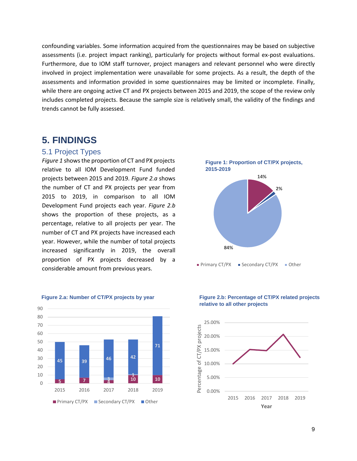confounding variables. Some information acquired from the questionnaires may be based on subjective assessments (i.e. project impact ranking), particularly for projects without formal ex-post evaluations. Furthermore, due to IOM staff turnover, project managers and relevant personnel who were directly involved in project implementation were unavailable for some projects. As a result, the depth of the assessments and information provided in some questionnaires may be limited or incomplete. Finally, while there are ongoing active CT and PX projects between 2015 and 2019, the scope of the review only includes completed projects. Because the sample size is relatively small, the validity of the findings and trends cannot be fully assessed.

## <span id="page-8-0"></span>**5. FINDINGS**

#### <span id="page-8-1"></span>5.1 Project Types

*Figure 1* shows the proportion of CT and PX projects relative to all IOM Development Fund funded projects between 2015 and 2019*. Figure 2.a* shows the number of CT and PX projects per year from 2015 to 2019, in comparison to all IOM Development Fund projects each year. *Figure 2.b* shows the proportion of these projects, as a percentage, relative to all projects per year. The number of CT and PX projects have increased each year. However, while the number of total projects increased significantly in 2019, the overall proportion of PX projects decreased by a considerable amount from previous years.







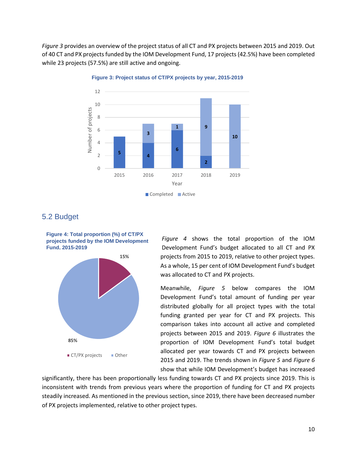*Figure 3* provides an overview of the project status of all CT and PX projects between 2015 and 2019. Out of 40 CT and PX projects funded by the IOM Development Fund, 17 projects (42.5%) have been completed while 23 projects (57.5%) are still active and ongoing.



**Figure 3: Project status of CT/PX projects by year, 2015-2019**

## <span id="page-9-0"></span>5.2 Budget

**Figure 4: Total proportion (%) of CT/PX projects funded by the IOM Development Fund, 2015-2019**



*Figure 4* shows the total proportion of the IOM Development Fund's budget allocated to all CT and PX projects from 2015 to 2019, relative to other project types. As a whole, 15 per cent of IOM Development Fund's budget was allocated to CT and PX projects.

Meanwhile, *Figure 5* below compares the IOM Development Fund's total amount of funding per year distributed globally for all project types with the total funding granted per year for CT and PX projects. This comparison takes into account all active and completed projects between 2015 and 2019. *Figure 6* illustrates the proportion of IOM Development Fund's total budget allocated per year towards CT and PX projects between 2015 and 2019. The trends shown in *Figure 5* and *Figure 6*  show that while IOM Development's budget has increased

significantly, there has been proportionally less funding towards CT and PX projects since 2019. This is inconsistent with trends from previous years where the proportion of funding for CT and PX projects steadily increased. As mentioned in the previous section, since 2019, there have been decreased number of PX projects implemented, relative to other project types.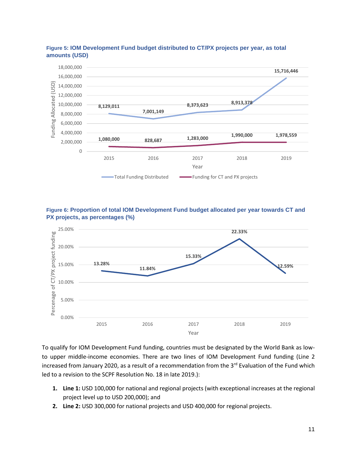

#### **Figure 5: IOM Development Fund budget distributed to CT/PX projects per year, as total amounts (USD)**





To qualify for IOM Development Fund funding, countries must be designated by the World Bank as lowto upper middle-income economies. There are two lines of IOM Development Fund funding (Line 2 increased from January 2020, as a result of a recommendation from the  $3<sup>rd</sup>$  Evaluation of the Fund which led to a revision to the SCPF Resolution No. 18 in late 2019.):

- **1. Line 1:** USD 100,000 for national and regional projects (with exceptional increases at the regional project level up to USD 200,000); and
- **2. Line 2:** USD 300,000 for national projects and USD 400,000 for regional projects.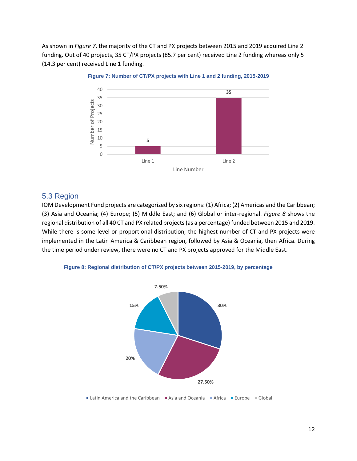As shown in *Figure 7*, the majority of the CT and PX projects between 2015 and 2019 acquired Line 2 funding. Out of 40 projects, 35 CT/PX projects (85.7 per cent) received Line 2 funding whereas only 5 (14.3 per cent) received Line 1 funding.



#### **Figure 7: Number of CT/PX projects with Line 1 and 2 funding, 2015-2019**

#### <span id="page-11-0"></span>5.3 Region

IOM Development Fund projects are categorized by six regions: (1) Africa; (2) Americas and the Caribbean; (3) Asia and Oceania; (4) Europe; (5) Middle East; and (6) Global or inter-regional. *Figure 8* shows the regional distribution of all 40 CT and PX related projects(as a percentage) funded between 2015 and 2019. While there is some level or proportional distribution, the highest number of CT and PX projects were implemented in the Latin America & Caribbean region, followed by Asia & Oceania, then Africa. During the time period under review, there were no CT and PX projects approved for the Middle East.





**Latin America and the Caribbean** Asia and Oceania Africa **Europe** Global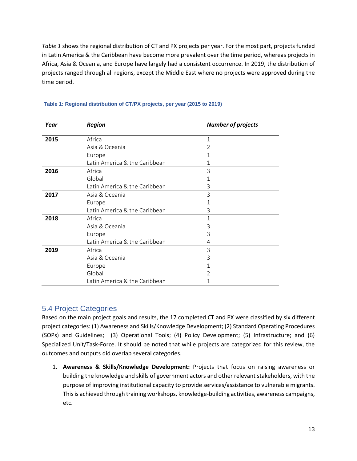*Table 1* shows the regional distribution of CT and PX projects per year. For the most part, projects funded in Latin America & the Caribbean have become more prevalent over the time period, whereas projects in Africa, Asia & Oceania, and Europe have largely had a consistent occurrence. In 2019, the distribution of projects ranged through all regions, except the Middle East where no projects were approved during the time period.

| Year | <b>Region</b>                 | <b>Number of projects</b> |
|------|-------------------------------|---------------------------|
| 2015 | Africa                        | 1                         |
|      | Asia & Oceania                | 2                         |
|      | Europe                        |                           |
|      | Latin America & the Caribbean | 1                         |
| 2016 | Africa                        | 3                         |
|      | Global                        | 1                         |
|      | Latin America & the Caribbean | 3                         |
| 2017 | Asia & Oceania                | 3                         |
|      | Europe                        | 1                         |
|      | Latin America & the Caribbean | 3                         |
| 2018 | Africa                        | 1                         |
|      | Asia & Oceania                | 3                         |
|      | Europe                        | 3                         |
|      | Latin America & the Caribbean | 4                         |
| 2019 | Africa                        | 3                         |
|      | Asia & Oceania                | 3                         |
|      | Europe                        | 1                         |
|      | Global                        | V                         |
|      | Latin America & the Caribbean | 1                         |

#### **Table 1: Regional distribution of CT/PX projects, per year (2015 to 2019)**

## <span id="page-12-0"></span>5.4 Project Categories

Based on the main project goals and results, the 17 completed CT and PX were classified by six different project categories: (1) Awareness and Skills/Knowledge Development; (2) Standard Operating Procedures (SOPs) and Guidelines; (3) Operational Tools; (4) Policy Development; (5) Infrastructure; and (6) Specialized Unit/Task-Force. It should be noted that while projects are categorized for this review, the outcomes and outputs did overlap several categories.

1. **Awareness & Skills/Knowledge Development:** Projects that focus on raising awareness or building the knowledge and skills of government actors and other relevant stakeholders, with the purpose of improving institutional capacity to provide services/assistance to vulnerable migrants. This is achieved through training workshops, knowledge-building activities, awareness campaigns, etc.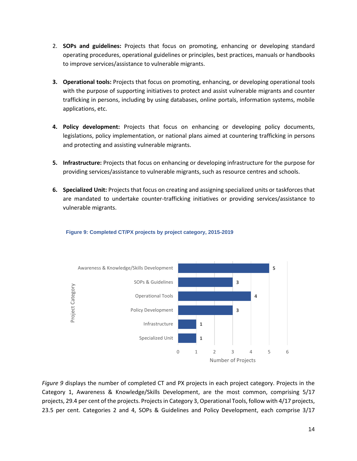- 2. **SOPs and guidelines:** Projects that focus on promoting, enhancing or developing standard operating procedures, operational guidelines or principles, best practices, manuals or handbooks to improve services/assistance to vulnerable migrants.
- **3. Operational tools:** Projects that focus on promoting, enhancing, or developing operational tools with the purpose of supporting initiatives to protect and assist vulnerable migrants and counter trafficking in persons, including by using databases, online portals, information systems, mobile applications, etc.
- **4. Policy development:** Projects that focus on enhancing or developing policy documents, legislations, policy implementation, or national plans aimed at countering trafficking in persons and protecting and assisting vulnerable migrants.
- **5. Infrastructure:** Projects that focus on enhancing or developing infrastructure for the purpose for providing services/assistance to vulnerable migrants, such as resource centres and schools.
- **6. Specialized Unit:** Projects that focus on creating and assigning specialized units or taskforces that are mandated to undertake counter-trafficking initiatives or providing services/assistance to vulnerable migrants.



#### **Figure 9: Completed CT/PX projects by project category, 2015-2019**

*Figure 9* displays the number of completed CT and PX projects in each project category. Projects in the Category 1, Awareness & Knowledge/Skills Development, are the most common, comprising 5/17 projects, 29.4 per cent of the projects. Projects in Category 3, Operational Tools, follow with 4/17 projects, 23.5 per cent. Categories 2 and 4, SOPs & Guidelines and Policy Development, each comprise 3/17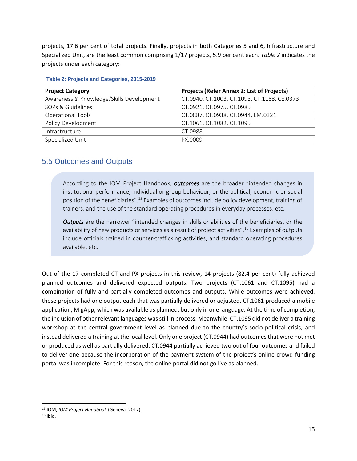projects, 17.6 per cent of total projects. Finally, projects in both Categories 5 and 6, Infrastructure and Specialized Unit, are the least common comprising 1/17 projects, 5.9 per cent each. *Table 2* indicates the projects under each category:

| <b>Project Category</b>                  | <b>Projects (Refer Annex 2: List of Projects)</b> |  |
|------------------------------------------|---------------------------------------------------|--|
| Awareness & Knowledge/Skills Development | CT.0940, CT.1003, CT.1093, CT.1168, CE.0373       |  |
| SOPs & Guidelines                        | CT.0921, CT.0975, CT.0985                         |  |
| Operational Tools                        | CT.0887, CT.0938, CT.0944, LM.0321                |  |
| Policy Development                       | CT.1061, CT.1082, CT.1095                         |  |
| Infrastructure                           | CT.0988                                           |  |
| Specialized Unit                         | PX.0009                                           |  |

#### **Table 2: Projects and Categories, 2015-2019**

## <span id="page-14-0"></span>5.5 Outcomes and Outputs

According to the IOM Project Handbook, *outcomes* are the broader "intended changes in institutional performance, individual or group behaviour, or the political, economic or social position of the beneficiaries".<sup>15</sup> Examples of outcomes include policy development, training of trainers, and the use of the standard operating procedures in everyday processes, etc.

*Outputs* are the narrower "intended changes in skills or abilities of the beneficiaries, or the availability of new products or services as a result of project activities".<sup>16</sup> Examples of outputs include officials trained in counter-trafficking activities, and standard operating procedures available, etc.

Out of the 17 completed CT and PX projects in this review, 14 projects (82.4 per cent) fully achieved planned outcomes and delivered expected outputs. Two projects (CT.1061 and CT.1095) had a combination of fully and partially completed outcomes and outputs. While outcomes were achieved, these projects had one output each that was partially delivered or adjusted. CT.1061 produced a mobile application, MigApp, which was available as planned, but only in one language. At the time of completion, the inclusion of other relevant languages was still in process. Meanwhile, CT.1095 did not deliver a training workshop at the central government level as planned due to the country's socio-political crisis, and instead delivered a training at the local level. Only one project (CT.0944) had outcomes that were not met or produced as well as partially delivered. CT.0944 partially achieved two out of four outcomes and failed to deliver one because the incorporation of the payment system of the project's online crowd-funding portal was incomplete. For this reason, the online portal did not go live as planned.

<sup>15</sup> IOM, *IOM Project Handbook* (Geneva, 2017).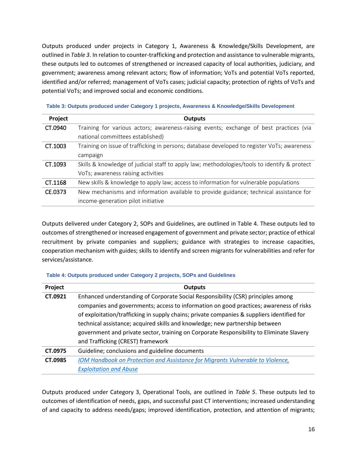Outputs produced under projects in Category 1, Awareness & Knowledge/Skills Development, are outlined in *Table 3*. In relation to counter-trafficking and protection and assistance to vulnerable migrants, these outputs led to outcomes of strengthened or increased capacity of local authorities, judiciary, and government; awareness among relevant actors; flow of information; VoTs and potential VoTs reported, identified and/or referred; management of VoTs cases; judicial capacity; protection of rights of VoTs and potential VoTs; and improved social and economic conditions.

**Table 3: Outputs produced under Category 1 projects, Awareness & Knowledge/Skills Development**

| Project | <b>Outputs</b>                                                                               |
|---------|----------------------------------------------------------------------------------------------|
| CT.0940 | Training for various actors; awareness-raising events; exchange of best practices (via       |
|         | national committees established)                                                             |
| CT.1003 | Training on issue of trafficking in persons; database developed to register VoTs; awareness  |
|         | campaign                                                                                     |
| CT.1093 | Skills & knowledge of judicial staff to apply law; methodologies/tools to identify & protect |
|         | VoTs; awareness raising activities                                                           |
| CT.1168 | New skills & knowledge to apply law; access to information for vulnerable populations        |
| CE.0373 | New mechanisms and information available to provide guidance; technical assistance for       |
|         | income-generation pilot initiative                                                           |

Outputs delivered under Category 2, SOPs and Guidelines, are outlined in Table 4. These outputs led to outcomes of strengthened or increased engagement of government and private sector; practice of ethical recruitment by private companies and suppliers; guidance with strategies to increase capacities, cooperation mechanism with guides; skills to identify and screen migrants for vulnerabilities and refer for services/assistance.

#### **Table 4: Outputs produced under Category 2 projects, SOPs and Guidelines**

| Project | <b>Outputs</b>                                                                             |
|---------|--------------------------------------------------------------------------------------------|
| CT.0921 | Enhanced understanding of Corporate Social Responsibility (CSR) principles among           |
|         | companies and governments; access to information on good practices; awareness of risks     |
|         | of exploitation/trafficking in supply chains; private companies & suppliers identified for |
|         | technical assistance; acquired skills and knowledge; new partnership between               |
|         | government and private sector, training on Corporate Responsibility to Eliminate Slavery   |
|         | and Trafficking (CREST) framework                                                          |
| CT.0975 | Guideline; conclusions and guideline documents                                             |
| CT.0985 | IOM Handbook on Protection and Assistance for Migrants Vulnerable to Violence,             |
|         | <b>Exploitation and Abuse</b>                                                              |

Outputs produced under Category 3, Operational Tools, are outlined in *Table 5*. These outputs led to outcomes of identification of needs, gaps, and successful past CT interventions; increased understanding of and capacity to address needs/gaps; improved identification, protection, and attention of migrants;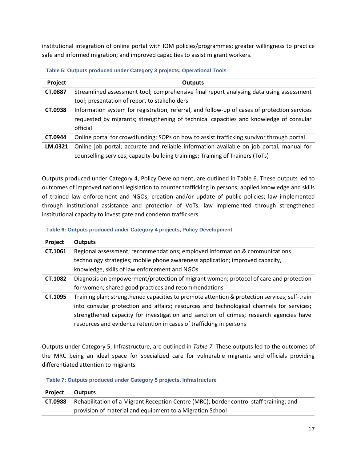institutional integration of online portal with IOM policies/programmes; greater willingness to practice safe and informed migration; and improved capacities to assist migrant workers.

| Table 5: Outputs produced under Category 3 projects, Operational Tools |  |  |  |
|------------------------------------------------------------------------|--|--|--|
|                                                                        |  |  |  |

| Project | <b>Outputs</b>                                                                               |
|---------|----------------------------------------------------------------------------------------------|
| CT.0887 | Streamlined assessment tool; comprehensive final report analysing data using assessment      |
|         | tool; presentation of report to stakeholders                                                 |
| CT.0938 | Information system for registration, referral, and follow-up of cases of protection services |
|         | requested by migrants; strengthening of technical capacities and knowledge of consular       |
|         | official                                                                                     |
| CT.0944 | Online portal for crowdfunding; SOPs on how to assist trafficking survivor through portal    |
| LM.0321 | Online job portal; accurate and reliable information available on job portal; manual for     |
|         | counselling services; capacity-building trainings; Training of Trainers (ToTs)               |

Outputs produced under Category 4, Policy Development, are outlined in Table 6. These outputs led to outcomes of improved national legislation to counter trafficking in persons; applied knowledge and skills of trained law enforcement and NGOs; creation and/or update of public policies; law implemented through institutional assistance and protection of VoTs; law implemented through strengthened institutional capacity to investigate and condemn traffickers.

**Table 6: Outputs produced under Category 4 projects, Policy Development**

| Project | <b>Outputs</b>                                                                                |
|---------|-----------------------------------------------------------------------------------------------|
| CT.1061 | Regional assessment; recommendations; employed information & communications                   |
|         | technology strategies; mobile phone awareness application; improved capacity,                 |
|         | knowledge, skills of law enforcement and NGOs                                                 |
| CT.1082 | Diagnosis on empowerment/protection of migrant women; protocol of care and protection         |
|         | for women; shared good practices and recommendations                                          |
| CT.1095 | Training plan; strengthened capacities to promote attention & protection services; self-train |
|         | into consular protection and affairs; resources and technological channels for services;      |
|         | strengthened capacity for investigation and sanction of crimes; research agencies have        |
|         | resources and evidence retention in cases of trafficking in persons                           |

Outputs under Category 5, Infrastructure, are outlined in *Table 7.* These outputs led to the outcomes of the MRC being an ideal space for specialized care for vulnerable migrants and officials providing differentiated attention to migrants.

**Table 7: Outputs produced under Category 5 projects, Infrastructure** 

| Project | <b>Outputs</b>                                                                         |
|---------|----------------------------------------------------------------------------------------|
| CT.0988 | Rehabilitation of a Migrant Reception Centre (MRC); border control staff training; and |
|         | provision of material and equipment to a Migration School                              |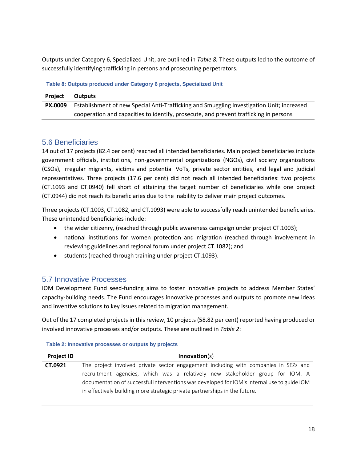Outputs under Category 6, Specialized Unit, are outlined in *Table 8.* These outputs led to the outcome of successfully identifying trafficking in persons and prosecuting perpetrators.

#### **Table 8: Outputs produced under Category 6 projects, Specialized Unit**

| <b>Project</b> | <b>Outputs</b>                                                                            |
|----------------|-------------------------------------------------------------------------------------------|
| <b>PX.0009</b> | Establishment of new Special Anti-Trafficking and Smuggling Investigation Unit; increased |
|                | cooperation and capacities to identify, prosecute, and prevent trafficking in persons     |

## <span id="page-17-0"></span>5.6 Beneficiaries

14 out of 17 projects (82.4 per cent) reached all intended beneficiaries. Main project beneficiaries include government officials, institutions, non-governmental organizations (NGOs), civil society organizations (CSOs), irregular migrants, victims and potential VoTs, private sector entities, and legal and judicial representatives. Three projects (17.6 per cent) did not reach all intended beneficiaries: two projects (CT.1093 and CT.0940) fell short of attaining the target number of beneficiaries while one project (CT.0944) did not reach its beneficiaries due to the inability to deliver main project outcomes.

Three projects (CT.1003, CT.1082, and CT.1093) were able to successfully reach unintended beneficiaries. These unintended beneficiaries include:

- the wider citizenry, (reached through public awareness campaign under project CT.1003);
- national institutions for women protection and migration (reached through involvement in reviewing guidelines and regional forum under project CT.1082); and
- students (reached through training under project CT.1093).

### <span id="page-17-1"></span>5.7 Innovative Processes

IOM Development Fund seed-funding aims to foster innovative projects to address Member States' capacity-building needs. The Fund encourages innovative processes and outputs to promote new ideas and inventive solutions to key issues related to migration management.

Out of the 17 completed projects in this review, 10 projects (58.82 per cent) reported having produced or involved innovative processes and/or outputs. These are outlined in *Table 2*:

| <b>Project ID</b> | Innovation(s)                                                                               |
|-------------------|---------------------------------------------------------------------------------------------|
| CT.0921           | The project involved private sector engagement including with companies in SEZs and         |
|                   | recruitment agencies, which was a relatively new stakeholder group for IOM. A               |
|                   | documentation of successful interventions was developed for IOM's internal use to guide IOM |
|                   | in effectively building more strategic private partnerships in the future.                  |

**Table 2: Innovative processes or outputs by projects**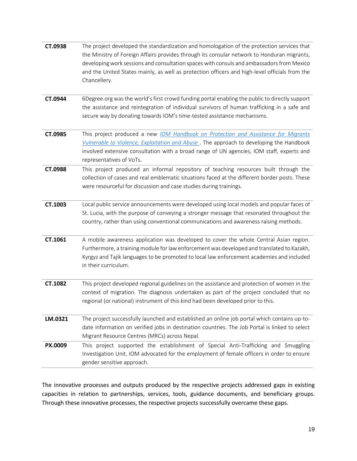| CT.0938 | The project developed the standardization and homologation of the protection services that<br>the Ministry of Foreign Affairs provides through its consular network to Honduran migrants,<br>developing work sessions and consultation spaces with consuls and ambassadors from Mexico<br>and the United States mainly, as well as protection officers and high-level officials from the<br>Chancellery. |
|---------|----------------------------------------------------------------------------------------------------------------------------------------------------------------------------------------------------------------------------------------------------------------------------------------------------------------------------------------------------------------------------------------------------------|
| CT.0944 | 6Degree.org was the world's first crowd funding portal enabling the public to directly support<br>the assistance and reintegration of individual survivors of human trafficking in a safe and<br>secure way by donating towards IOM's time-tested assistance mechanisms.                                                                                                                                 |
| CT.0985 | This project produced a new <i>IOM Handbook on Protection and Assistance for Migrants</i><br>Vulnerable to Violence, Exploitation and Abuse . The approach to developing the Handbook<br>involved extensive consultation with a broad range of UN agencies, IOM staff, experts and<br>representatives of VoTs.                                                                                           |
| CT.0988 | This project produced an informal repository of teaching resources built through the<br>collection of cases and real emblematic situations faced at the different border posts. These<br>were resourceful for discussion and case studies during trainings.                                                                                                                                              |
| CT.1003 | Local public service announcements were developed using local models and popular faces of<br>St. Lucia, with the purpose of conveying a stronger message that resonated throughout the<br>country, rather than using conventional communications and awareness raising methods.                                                                                                                          |
| CT.1061 | A mobile awareness application was developed to cover the whole Central Asian region.<br>Furthermore, a training module for law enforcement was developed and translated to Kazakh,<br>Kyrgyz and Tajik languages to be promoted to local law enforcement academies and included<br>in their curriculum.                                                                                                 |
| CT.1082 | This project developed regional guidelines on the assistance and protection of women in the<br>context of migration. The diagnosis undertaken as part of the project concluded that no<br>regional (or national) instrument of this kind had been developed prior to this.                                                                                                                               |
| LM.0321 | The project successfully launched and established an online job portal which contains up-to-<br>date information on verified jobs in destination countries. The Job Portal is linked to select<br>Migrant Resource Centres (MRCs) across Nepal.                                                                                                                                                          |
| PX.0009 | This project supported the establishment of Special Anti-Trafficking and Smuggling<br>Investigation Unit. IOM advocated for the employment of female officers in order to ensure<br>gender sensitive approach.                                                                                                                                                                                           |

The innovative processes and outputs produced by the respective projects addressed gaps in existing capacities in relation to partnerships, services, tools, guidance documents, and beneficiary groups. Through these innovative processes, the respective projects successfully overcame these gaps.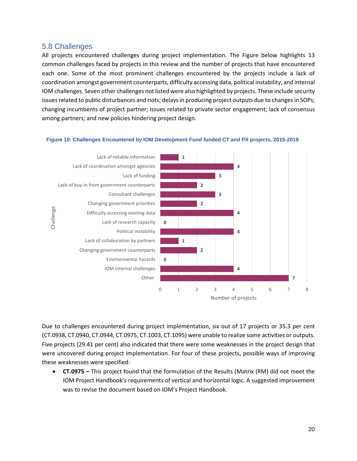## <span id="page-19-0"></span>5.8 Challenges

All projects encountered challenges during project implementation. The Figure below highlights 13 common challenges faced by projects in this review and the number of projects that have encountered each one. Some of the most prominent challenges encountered by the projects include a lack of coordination amongst government counterparts, difficulty accessing data, political instability, and internal IOM challenges. Seven other challenges not listed were also highlighted by projects. These include security issues related to public disturbances and riots; delays in producing project outputs due to changes in SOPs; changing incumbents of project partner; issues related to private sector engagement; lack of consensus among partners; and new policies hindering project design.

#### **Figure 10: Challenges Encountered by IOM Development Fund funded CT and PX projects, 2015-2019**



Due to challenges encountered during project implementation, six out of 17 projects or 35.3 per cent (CT.0938, CT.0940, CT.0944, CT.0975, CT.1003, CT.1095) were unable to realize some activities or outputs. Five projects (29.41 per cent) also indicated that there were some weaknesses in the project design that were uncovered during project implementation. For four of these projects, possible ways of improving these weaknesses were specified:

• **CT.0975 –** This project found that the formulation of the Results (Matrix (RM) did not meet the IOM Project Handbook's requirements of vertical and horizontal logic. A suggested improvement was to revise the document based on IOM's Project Handbook.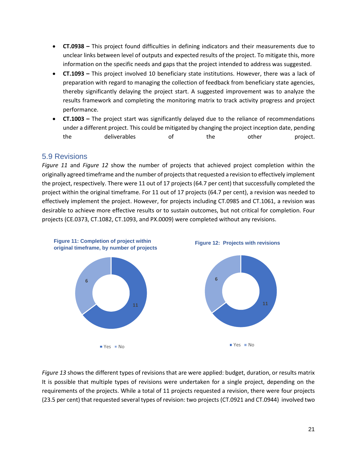- **CT.0938 –** This project found difficulties in defining indicators and their measurements due to unclear links between level of outputs and expected results of the project. To mitigate this, more information on the specific needs and gaps that the project intended to address was suggested.
- **CT.1093 –** This project involved 10 beneficiary state institutions. However, there was a lack of preparation with regard to managing the collection of feedback from beneficiary state agencies, thereby significantly delaying the project start. A suggested improvement was to analyze the results framework and completing the monitoring matrix to track activity progress and project performance.
- **CT.1003 –** The project start was significantly delayed due to the reliance of recommendations under a different project. This could be mitigated by changing the project inception date, pending the deliverables of the other project.

## <span id="page-20-0"></span>5.9 Revisions

*Figure 11* and *Figure 12* show the number of projects that achieved project completion within the originally agreed timeframe and the number of projects that requested a revision to effectively implement the project, respectively. There were 11 out of 17 projects (64.7 per cent) that successfully completed the project within the original timeframe. For 11 out of 17 projects (64.7 per cent), a revision was needed to effectively implement the project. However, for projects including CT.0985 and CT.1061, a revision was desirable to achieve more effective results or to sustain outcomes, but not critical for completion. Four projects (CE.0373, CT.1082, CT.1093, and PX.0009) were completed without any revisions.



*Figure 13* shows the different types of revisions that are were applied: budget, duration, or results matrix It is possible that multiple types of revisions were undertaken for a single project, depending on the requirements of the projects. While a total of 11 projects requested a revision, there were four projects (23.5 per cent) that requested several types of revision: two projects (CT.0921 and CT.0944) involved two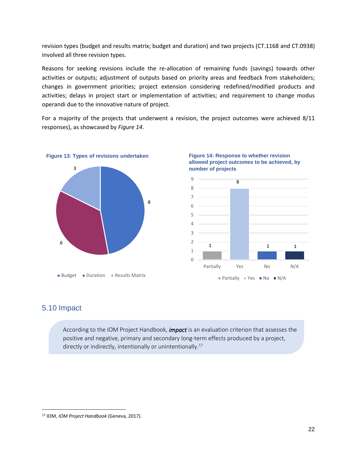revision types (budget and results matrix; budget and duration) and two projects (CT.1168 and CT.0938) involved all three revision types.

Reasons for seeking revisions include the re-allocation of remaining funds (savings) towards other activities or outputs; adjustment of outputs based on priority areas and feedback from stakeholders; changes in government priorities; project extension considering redefined/modified products and activities; delays in project start or implementation of activities; and requirement to change modus operandi due to the innovative nature of project.

For a majority of the projects that underwent a revision, the project outcomes were achieved 8/11 responses), as showcased by *Figure 14*.



<span id="page-21-0"></span>



## 5.10 Impact

According to the IOM Project Handbook, *impact* is an evaluation criterion that assesses the positive and negative, primary and secondary long-term effects produced by a project, directly or indirectly, intentionally or unintentionally.<sup>17</sup>

<sup>17</sup> IOM, *IOM Project Handbook* (Geneva, 2017).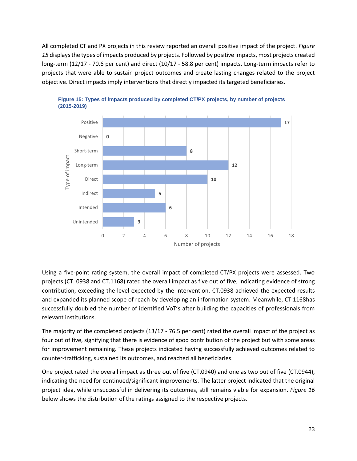All completed CT and PX projects in this review reported an overall positive impact of the project. *Figure 15* displays the types of impacts produced by projects. Followed by positive impacts, most projects created long-term (12/17 - 70.6 per cent) and direct (10/17 - 58.8 per cent) impacts. Long-term impacts refer to projects that were able to sustain project outcomes and create lasting changes related to the project objective. Direct impacts imply interventions that directly impacted its targeted beneficiaries.





Using a five-point rating system, the overall impact of completed CT/PX projects were assessed. Two projects (CT. 0938 and CT.1168) rated the overall impact as five out of five, indicating evidence of strong contribution, exceeding the level expected by the intervention. CT.0938 achieved the expected results and expanded its planned scope of reach by developing an information system. Meanwhile, CT.1168has successfully doubled the number of identified VoT's after building the capacities of professionals from relevant institutions.

The majority of the completed projects (13/17 - 76.5 per cent) rated the overall impact of the project as four out of five, signifying that there is evidence of good contribution of the project but with some areas for improvement remaining. These projects indicated having successfully achieved outcomes related to counter-trafficking, sustained its outcomes, and reached all beneficiaries.

One project rated the overall impact as three out of five (CT.0940) and one as two out of five (CT.0944), indicating the need for continued/significant improvements. The latter project indicated that the original project idea, while unsuccessful in delivering its outcomes, still remains viable for expansion. *Figure 16* below shows the distribution of the ratings assigned to the respective projects.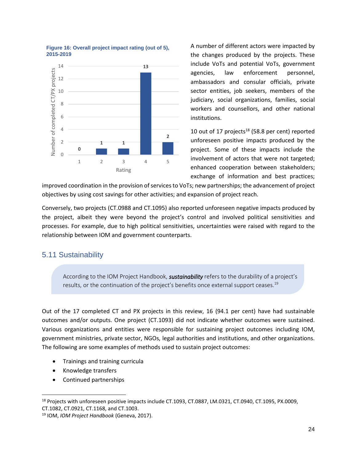

#### **Figure 16: Overall project impact rating (out of 5), 2015-2019**

A number of different actors were impacted by the changes produced by the projects. These include VoTs and potential VoTs, government agencies, law enforcement personnel, ambassadors and consular officials, private sector entities, job seekers, members of the judiciary, social organizations, families, social workers and counsellors, and other national institutions.

10 out of 17 projects $18$  (58.8 per cent) reported unforeseen positive impacts produced by the project. Some of these impacts include the involvement of actors that were not targeted; enhanced cooperation between stakeholders; exchange of information and best practices;

improved coordination in the provision of services to VoTs; new partnerships; the advancement of project objectives by using cost savings for other activities; and expansion of project reach.

Conversely, two projects (CT.0988 and CT.1095) also reported unforeseen negative impacts produced by the project, albeit they were beyond the project's control and involved political sensitivities and processes. For example, due to high political sensitivities, uncertainties were raised with regard to the relationship between IOM and government counterparts.

## <span id="page-23-0"></span>5.11 Sustainability

According to the IOM Project Handbook, *sustainability* refers to the durability of a project's results, or the continuation of the project's benefits once external support ceases.<sup>19</sup>

Out of the 17 completed CT and PX projects in this review, 16 (94.1 per cent) have had sustainable outcomes and/or outputs. One project (CT.1093) did not indicate whether outcomes were sustained. Various organizations and entities were responsible for sustaining project outcomes including IOM, government ministries, private sector, NGOs, legal authorities and institutions, and other organizations. The following are some examples of methods used to sustain project outcomes:

- Trainings and training curricula
- Knowledge transfers
- Continued partnerships

<sup>&</sup>lt;sup>18</sup> Projects with unforeseen positive impacts include CT.1093, CT.0887, LM.0321, CT.0940, CT.1095, PX.0009, CT.1082, CT.0921, CT.1168, and CT.1003.

<sup>19</sup> IOM, *IOM Project Handbook* (Geneva, 2017).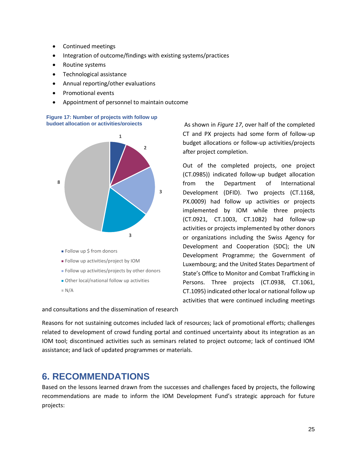- Continued meetings
- Integration of outcome/findings with existing systems/practices
- Routine systems
- Technological assistance
- Annual reporting/other evaluations
- Promotional events
- Appointment of personnel to maintain outcome



and consultations and the dissemination of research

As shown in *Figure 17*, over half of the completed CT and PX projects had some form of follow-up budget allocations or follow-up activities/projects after project completion.

Out of the completed projects, one project (CT.0985)) indicated follow-up budget allocation from the Department of International Development (DFID). Two projects (CT.1168, PX.0009) had follow up activities or projects implemented by IOM while three projects (CT.0921, CT.1003, CT.1082) had follow-up activities or projects implemented by other donors or organizations including the Swiss Agency for Development and Cooperation (SDC); the UN Development Programme; the Government of Luxembourg; and the United States Department of State's Office to Monitor and Combat Trafficking in Persons. Three projects (CT.0938, CT.1061, CT.1095) indicated other local or national follow up activities that were continued including meetings

Reasons for not sustaining outcomes included lack of resources; lack of promotional efforts; challenges related to development of crowd funding portal and continued uncertainty about its integration as an IOM tool; discontinued activities such as seminars related to project outcome; lack of continued IOM assistance; and lack of updated programmes or materials.

# <span id="page-24-0"></span>**6. RECOMMENDATIONS**

Based on the lessons learned drawn from the successes and challenges faced by projects, the following recommendations are made to inform the IOM Development Fund's strategic approach for future projects: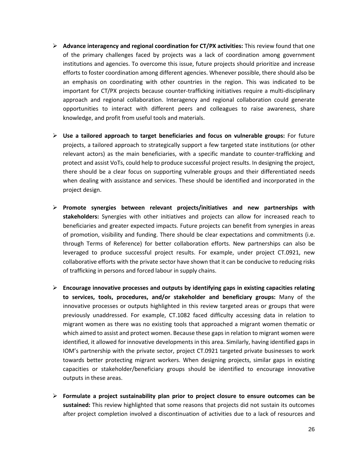- ➢ **Advance interagency and regional coordination for CT/PX activities:** This review found that one of the primary challenges faced by projects was a lack of coordination among government institutions and agencies. To overcome this issue, future projects should prioritize and increase efforts to foster coordination among different agencies. Whenever possible, there should also be an emphasis on coordinating with other countries in the region. This was indicated to be important for CT/PX projects because counter-trafficking initiatives require a multi-disciplinary approach and regional collaboration. Interagency and regional collaboration could generate opportunities to interact with different peers and colleagues to raise awareness, share knowledge, and profit from useful tools and materials.
- ➢ **Use a tailored approach to target beneficiaries and focus on vulnerable groups:** For future projects, a tailored approach to strategically support a few targeted state institutions (or other relevant actors) as the main beneficiaries, with a specific mandate to counter-trafficking and protect and assist VoTs, could help to produce successful project results. In designing the project, there should be a clear focus on supporting vulnerable groups and their differentiated needs when dealing with assistance and services. These should be identified and incorporated in the project design.
- ➢ **Promote synergies between relevant projects/initiatives and new partnerships with stakeholders:** Synergies with other initiatives and projects can allow for increased reach to beneficiaries and greater expected impacts. Future projects can benefit from synergies in areas of promotion, visibility and funding. There should be clear expectations and commitments (i.e. through Terms of Reference) for better collaboration efforts. New partnerships can also be leveraged to produce successful project results. For example, under project CT.0921, new collaborative efforts with the private sector have shown that it can be conducive to reducing risks of trafficking in persons and forced labour in supply chains.
- ➢ **Encourage innovative processes and outputs by identifying gaps in existing capacities relating to services, tools, procedures, and/or stakeholder and beneficiary groups:** Many of the innovative processes or outputs highlighted in this review targeted areas or groups that were previously unaddressed. For example, CT.1082 faced difficulty accessing data in relation to migrant women as there was no existing tools that approached a migrant women thematic or which aimed to assist and protect women. Because these gaps in relation to migrant women were identified, it allowed for innovative developments in this area. Similarly, having identified gaps in IOM's partnership with the private sector, project CT.0921 targeted private businesses to work towards better protecting migrant workers. When designing projects, similar gaps in existing capacities or stakeholder/beneficiary groups should be identified to encourage innovative outputs in these areas.
- ➢ **Formulate a project sustainability plan prior to project closure to ensure outcomes can be sustained:** This review highlighted that some reasons that projects did not sustain its outcomes after project completion involved a discontinuation of activities due to a lack of resources and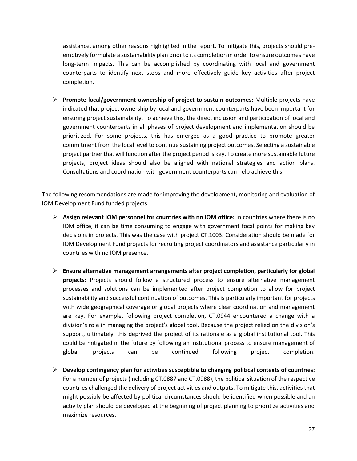assistance, among other reasons highlighted in the report. To mitigate this, projects should preemptively formulate a sustainability plan prior to its completion in order to ensure outcomes have long-term impacts. This can be accomplished by coordinating with local and government counterparts to identify next steps and more effectively guide key activities after project completion.

➢ **Promote local/government ownership of project to sustain outcomes:** Multiple projects have indicated that project ownership by local and government counterparts have been important for ensuring project sustainability. To achieve this, the direct inclusion and participation of local and government counterparts in all phases of project development and implementation should be prioritized. For some projects, this has emerged as a good practice to promote greater commitment from the local level to continue sustaining project outcomes. Selecting a sustainable project partner that will function after the project period is key. To create more sustainable future projects, project ideas should also be aligned with national strategies and action plans. Consultations and coordination with government counterparts can help achieve this.

The following recommendations are made for improving the development, monitoring and evaluation of IOM Development Fund funded projects:

- ➢ **Assign relevant IOM personnel for countries with no IOM office:** In countries where there is no IOM office, it can be time consuming to engage with government focal points for making key decisions in projects. This was the case with project CT.1003. Consideration should be made for IOM Development Fund projects for recruiting project coordinators and assistance particularly in countries with no IOM presence.
- ➢ **Ensure alternative management arrangements after project completion, particularly for global projects:** Projects should follow a structured process to ensure alternative management processes and solutions can be implemented after project completion to allow for project sustainability and successful continuation of outcomes. This is particularly important for projects with wide geographical coverage or global projects where clear coordination and management are key. For example, following project completion, CT.0944 encountered a change with a division's role in managing the project's global tool. Because the project relied on the division's support, ultimately, this deprived the project of its rationale as a global institutional tool. This could be mitigated in the future by following an institutional process to ensure management of global projects can be continued following project completion.
- ➢ **Develop contingency plan for activities susceptible to changing political contexts of countries:**  For a number of projects (including CT.0887 and CT.0988), the political situation of the respective countries challenged the delivery of project activities and outputs. To mitigate this, activities that might possibly be affected by political circumstances should be identified when possible and an activity plan should be developed at the beginning of project planning to prioritize activities and maximize resources.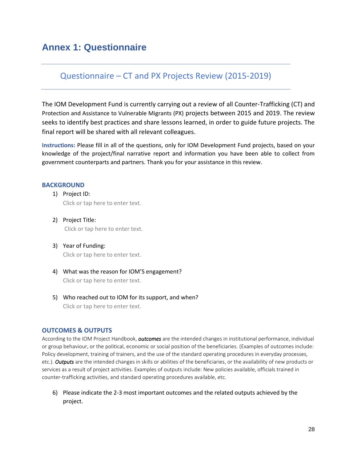# <span id="page-27-0"></span>**Annex 1: Questionnaire**

## Questionnaire – CT and PX Projects Review (2015-2019)

The IOM Development Fund is currently carrying out a review of all Counter-Trafficking (CT) and Protection and Assistance to Vulnerable Migrants (PX) projects between 2015 and 2019. The review seeks to identify best practices and share lessons learned, in order to guide future projects. The final report will be shared with all relevant colleagues.

**Instructions:** Please fill in all of the questions, only for IOM Development Fund projects, based on your knowledge of the project/final narrative report and information you have been able to collect from government counterparts and partners. Thank you for your assistance in this review.

#### **BACKGROUND**

- 1) Project ID: Click or tap here to enter text.
- 2) Project Title: Click or tap here to enter text.
- 3) Year of Funding: Click or tap here to enter text.
- 4) What was the reason for IOM'S engagement? Click or tap here to enter text.
- 5) Who reached out to IOM for its support, and when? Click or tap here to enter text.

#### **OUTCOMES & OUTPUTS**

According to the IOM Project Handbook, *outcomes* are the intended changes in institutional performance, individual or group behaviour, or the political, economic or social position of the beneficiaries. (Examples of outcomes include: Policy development, training of trainers, and the use of the standard operating procedures in everyday processes, etc.). *Outputs* are the intended changes in skills or abilities of the beneficiaries, or the availability of new products or services as a result of project activities. Examples of outputs include: New policies available, officials trained in counter-trafficking activities, and standard operating procedures available, etc.

6) Please indicate the 2-3 most important outcomes and the related outputs achieved by the project.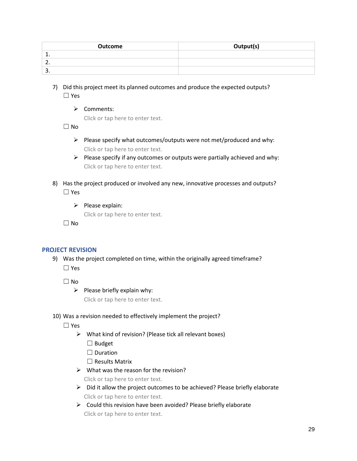| Outcome    | Output(s) |
|------------|-----------|
| <u>. .</u> |           |
| <u>.</u>   |           |
| <u>.</u>   |           |

- 7) Did this project meet its planned outcomes and produce the expected outputs? ☐ Yes
	- ➢ Comments:

Click or tap here to enter text.

☐ No

- $\triangleright$  Please specify what outcomes/outputs were not met/produced and why: Click or tap here to enter text.
- ➢ Please specify if any outcomes or outputs were partially achieved and why: Click or tap here to enter text.
- 8) Has the project produced or involved any new, innovative processes and outputs? ☐ Yes
	- ➢ Please explain:

Click or tap here to enter text.

 $\Box$  No

### **PROJECT REVISION**

9) Was the project completed on time, within the originally agreed timeframe? ☐ Yes

 $\Box$  No

 $\triangleright$  Please briefly explain why:

Click or tap here to enter text.

### 10) Was a revision needed to effectively implement the project?

☐ Yes

- ➢ What kind of revision? (Please tick all relevant boxes)
	- ☐ Budget
	- □ Duration

☐ Results Matrix

 $\triangleright$  What was the reason for the revision?

Click or tap here to enter text.

- ➢ Did it allow the project outcomes to be achieved? Please briefly elaborate Click or tap here to enter text.
- $\triangleright$  Could this revision have been avoided? Please briefly elaborate Click or tap here to enter text.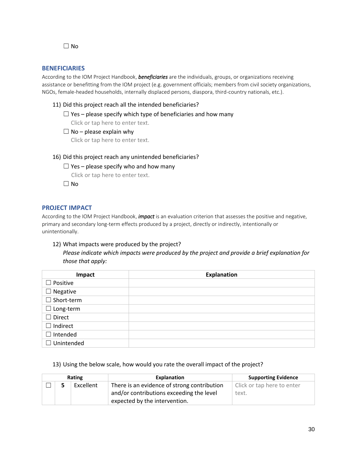$\Box$  No

#### **BENEFICIARIES**

According to the IOM Project Handbook, *beneficiaries* are the individuals, groups, or organizations receiving assistance or benefitting from the IOM project (e.g. government officials; members from civil society organizations, NGOs, female-headed households, internally displaced persons, diaspora, third-country nationals, etc.).

11) Did this project reach all the intended beneficiaries?

 $\Box$  Yes – please specify which type of beneficiaries and how many

- Click or tap here to enter text.
- $\Box$  No please explain why

Click or tap here to enter text.

#### 16) Did this project reach any unintended beneficiaries?

#### $\Box$  Yes – please specify who and how many

Click or tap here to enter text.

 $\Box$  No

#### **PROJECT IMPACT**

According to the IOM Project Handbook, *impact* is an evaluation criterion that assesses the positive and negative, primary and secondary long-term effects produced by a project, directly or indirectly, intentionally or unintentionally.

#### 12) What impacts were produced by the project?

*Please indicate which impacts were produced by the project and provide a brief explanation for those that apply:*

| Impact            | <b>Explanation</b> |
|-------------------|--------------------|
| $\Box$ Positive   |                    |
| $\Box$ Negative   |                    |
| $\Box$ Short-term |                    |
| $\Box$ Long-term  |                    |
| $\Box$ Direct     |                    |
| $\Box$ Indirect   |                    |
| $\Box$ Intended   |                    |
| $\Box$ Unintended |                    |

#### 13) Using the below scale, how would you rate the overall impact of the project?

| Rating |  |           | Explanation                                 | <b>Supporting Evidence</b> |  |
|--------|--|-----------|---------------------------------------------|----------------------------|--|
|        |  | Excellent | There is an evidence of strong contribution | Click or tap here to enter |  |
|        |  |           | and/or contributions exceeding the level    | text.                      |  |
|        |  |           | expected by the intervention.               |                            |  |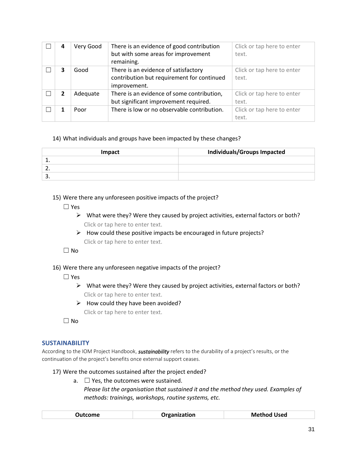| 4            | Very Good | There is an evidence of good contribution<br>but with some areas for improvement<br>remaining.     | Click or tap here to enter<br>text. |
|--------------|-----------|----------------------------------------------------------------------------------------------------|-------------------------------------|
| 3            | Good      | There is an evidence of satisfactory<br>contribution but requirement for continued<br>improvement. | Click or tap here to enter<br>text. |
| $\mathbf{z}$ | Adequate  | There is an evidence of some contribution,<br>but significant improvement required.                | Click or tap here to enter<br>text. |
|              | Poor      | There is low or no observable contribution.                                                        | Click or tap here to enter<br>text. |

#### 14) What individuals and groups have been impacted by these changes?

| Impact   | <b>Individuals/Groups Impacted</b> |  |  |
|----------|------------------------------------|--|--|
| --       |                                    |  |  |
|          |                                    |  |  |
| <u>.</u> |                                    |  |  |

#### 15) Were there any unforeseen positive impacts of the project?

- ☐ Yes
	- $\triangleright$  What were they? Were they caused by project activities, external factors or both? Click or tap here to enter text.
	- $\triangleright$  How could these positive impacts be encouraged in future projects? Click or tap here to enter text.

☐ No

- 16) Were there any unforeseen negative impacts of the project?
	- ☐ Yes
		- $\triangleright$  What were they? Were they caused by project activities, external factors or both? Click or tap here to enter text.
		- $\triangleright$  How could they have been avoided?

Click or tap here to enter text.

☐ No

### **SUSTAINABILITY**

According to the IOM Project Handbook, *sustainability* refers to the durability of a project's results, or the continuation of the project's benefits once external support ceases.

#### 17) Were the outcomes sustained after the project ended?

a.  $\Box$  Yes, the outcomes were sustained. *Please list the organisation that sustained it and the method they used. Examples of methods: trainings, workshops, routine systems, etc.*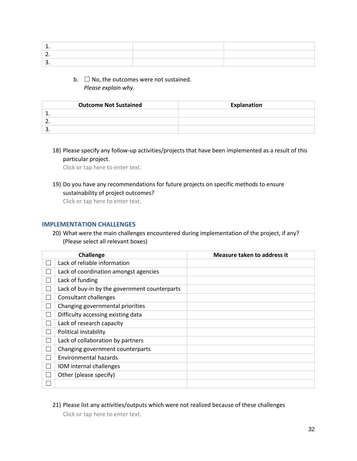b.  $\Box$  No, the outcomes were not sustained. *Please explain why.*

| <b>Outcome Not Sustained</b> | <b>Explanation</b> |
|------------------------------|--------------------|
|                              |                    |
|                              |                    |
|                              |                    |

18) Please specify any follow-up activities/projects that have been implemented as a result of this particular project.

Click or tap here to enter text.

19) Do you have any recommendations for future projects on specific methods to ensure sustainability of project outcomes?

Click or tap here to enter text.

#### **IMPLEMENTATION CHALLENGES**

20) What were the main challenges encountered during implementation of the project, if any? (Please select all relevant boxes)

|               | Challenge                                     | Measure taken to address it |
|---------------|-----------------------------------------------|-----------------------------|
|               | Lack of reliable information                  |                             |
|               | Lack of coordination amongst agencies         |                             |
|               | Lack of funding                               |                             |
| ۰             | Lack of buy-in by the government counterparts |                             |
|               | <b>Consultant challenges</b>                  |                             |
| H             | Changing governmental priorities              |                             |
| П             | Difficulty accessing existing data            |                             |
|               | Lack of research capacity                     |                             |
| $\mathcal{L}$ | Political instability                         |                             |
| ۰             | Lack of collaboration by partners             |                             |
| l.            | Changing government counterparts              |                             |
| Г             | Environmental hazards                         |                             |
| ۰             | IOM internal challenges                       |                             |
|               | Other (please specify)                        |                             |
|               |                                               |                             |

21) Please list any activities/outputs which were not realized because of these challenges Click or tap here to enter text.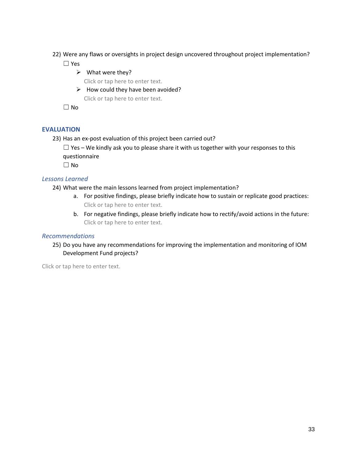22) Were any flaws or oversights in project design uncovered throughout project implementation?

☐ Yes

 $\triangleright$  What were they?

Click or tap here to enter text.

 $\triangleright$  How could they have been avoided? Click or tap here to enter text.

☐ No

## **EVALUATION**

23) Has an ex-post evaluation of this project been carried out?

 $\Box$  Yes – We kindly ask you to please share it with us together with your responses to this questionnaire

☐ No

### *Lessons Learned*

24) What were the main lessons learned from project implementation?

- a. For positive findings, please briefly indicate how to sustain or replicate good practices: Click or tap here to enter text.
- b. For negative findings, please briefly indicate how to rectify/avoid actions in the future: Click or tap here to enter text.

### *Recommendations*

25) Do you have any recommendations for improving the implementation and monitoring of IOM Development Fund projects?

Click or tap here to enter text.